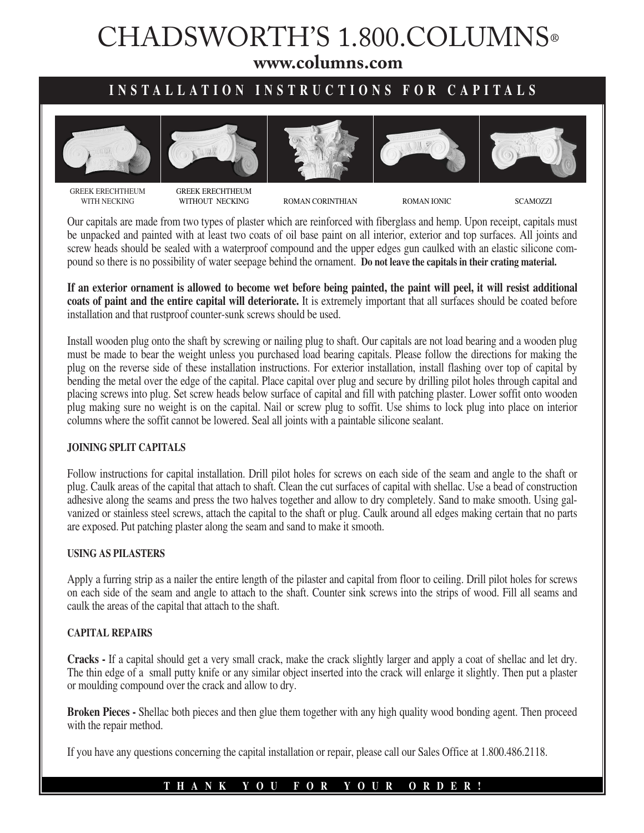# CHADSWORTH'S 1.800.COLUMNS®

**www.columns.com**

## **INSTALLATION INSTRUCTIONS FOR CAPITALS**











GREEK ERECHTHEUM WITH NECKING

GREEK ERECHTHEUM<br>WITHOUT NECKING

ROMAN CORINTHIAN ROMAN IONIC SCAMOZZI

Our capitals are made from two types of plaster which are reinforced with fiberglass and hemp. Upon receipt, capitals must be unpacked and painted with at least two coats of oil base paint on all interior, exterior and top surfaces. All joints and screw heads should be sealed with a waterproof compound and the upper edges gun caulked with an elastic silicone compound so there is no possibility of water seepage behind the ornament. **Do not leave the capitals in their crating material.**

**If an exterior ornament is allowed to become wet before being painted, the paint will peel, it will resist additional coats of paint and the entire capital will deteriorate.** It is extremely important that all surfaces should be coated before installation and that rustproof counter-sunk screws should be used.

Install wooden plug onto the shaft by screwing or nailing plug to shaft. Our capitals are not load bearing and a wooden plug must be made to bear the weight unless you purchased load bearing capitals. Please follow the directions for making the plug on the reverse side of these installation instructions. For exterior installation, install flashing over top of capital by bending the metal over the edge of the capital. Place capital over plug and secure by drilling pilot holes through capital and placing screws into plug. Set screw heads below surface of capital and fill with patching plaster. Lower soffit onto wooden plug making sure no weight is on the capital. Nail or screw plug to soffit. Use shims to lock plug into place on interior columns where the soffit cannot be lowered. Seal all joints with a paintable silicone sealant.

#### **JOINING SPLIT CAPITALS**

Follow instructions for capital installation. Drill pilot holes for screws on each side of the seam and angle to the shaft or plug. Caulk areas of the capital that attach to shaft. Clean the cut surfaces of capital with shellac. Use a bead of construction adhesive along the seams and press the two halves together and allow to dry completely. Sand to make smooth. Using galvanized or stainless steel screws, attach the capital to the shaft or plug. Caulk around all edges making certain that no parts are exposed. Put patching plaster along the seam and sand to make it smooth.

#### **USING AS PILASTERS**

Apply a furring strip as a nailer the entire length of the pilaster and capital from floor to ceiling. Drill pilot holes for screws on each side of the seam and angle to attach to the shaft. Counter sink screws into the strips of wood. Fill all seams and caulk the areas of the capital that attach to the shaft.

#### **CAPITAL REPAIRS**

**Cracks -** If a capital should get a very small crack, make the crack slightly larger and apply a coat of shellac and let dry. The thin edge of a small putty knife or any similar object inserted into the crack will enlarge it slightly. Then put a plaster or moulding compound over the crack and allow to dry.

**Broken Pieces -** Shellac both pieces and then glue them together with any high quality wood bonding agent. Then proceed with the repair method.

If you have any questions concerning the capital installation or repair, please call our Sales Office at 1.800.486.2118.

### **THANK YOU FOR YOUR ORDER!**